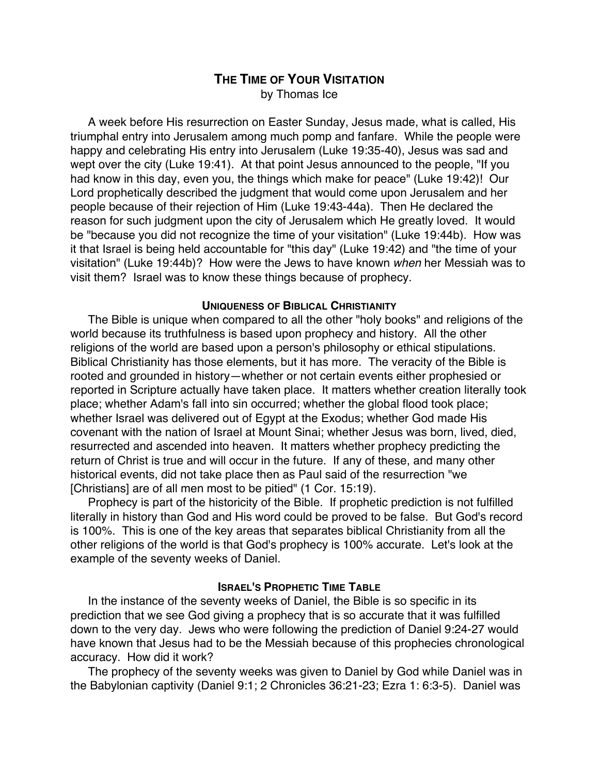## **THE TIME OF YOUR VISITATION** by Thomas Ice

A week before His resurrection on Easter Sunday, Jesus made, what is called, His triumphal entry into Jerusalem among much pomp and fanfare. While the people were happy and celebrating His entry into Jerusalem (Luke 19:35-40), Jesus was sad and wept over the city (Luke 19:41). At that point Jesus announced to the people, "If you had know in this day, even you, the things which make for peace" (Luke 19:42)! Our Lord prophetically described the judgment that would come upon Jerusalem and her people because of their rejection of Him (Luke 19:43-44a). Then He declared the reason for such judgment upon the city of Jerusalem which He greatly loved. It would be "because you did not recognize the time of your visitation" (Luke 19:44b). How was it that Israel is being held accountable for "this day" (Luke 19:42) and "the time of your visitation" (Luke 19:44b)? How were the Jews to have known when her Messiah was to visit them? Israel was to know these things because of prophecy.

## **UNIQUENESS OF BIBLICAL CHRISTIANITY**

The Bible is unique when compared to all the other "holy books" and religions of the world because its truthfulness is based upon prophecy and history. All the other religions of the world are based upon a person's philosophy or ethical stipulations. Biblical Christianity has those elements, but it has more. The veracity of the Bible is rooted and grounded in history—whether or not certain events either prophesied or reported in Scripture actually have taken place. It matters whether creation literally took place; whether Adam's fall into sin occurred; whether the global flood took place; whether Israel was delivered out of Egypt at the Exodus; whether God made His covenant with the nation of Israel at Mount Sinai; whether Jesus was born, lived, died, resurrected and ascended into heaven. It matters whether prophecy predicting the return of Christ is true and will occur in the future. If any of these, and many other historical events, did not take place then as Paul said of the resurrection "we [Christians] are of all men most to be pitied" (1 Cor. 15:19).

Prophecy is part of the historicity of the Bible. If prophetic prediction is not fulfilled literally in history than God and His word could be proved to be false. But God's record is 100%. This is one of the key areas that separates biblical Christianity from all the other religions of the world is that God's prophecy is 100% accurate. Let's look at the example of the seventy weeks of Daniel.

## **ISRAEL'S PROPHETIC TIME TABLE**

In the instance of the seventy weeks of Daniel, the Bible is so specific in its prediction that we see God giving a prophecy that is so accurate that it was fulfilled down to the very day. Jews who were following the prediction of Daniel 9:24-27 would have known that Jesus had to be the Messiah because of this prophecies chronological accuracy. How did it work?

The prophecy of the seventy weeks was given to Daniel by God while Daniel was in the Babylonian captivity (Daniel 9:1; 2 Chronicles 36:21-23; Ezra 1: 6:3-5). Daniel was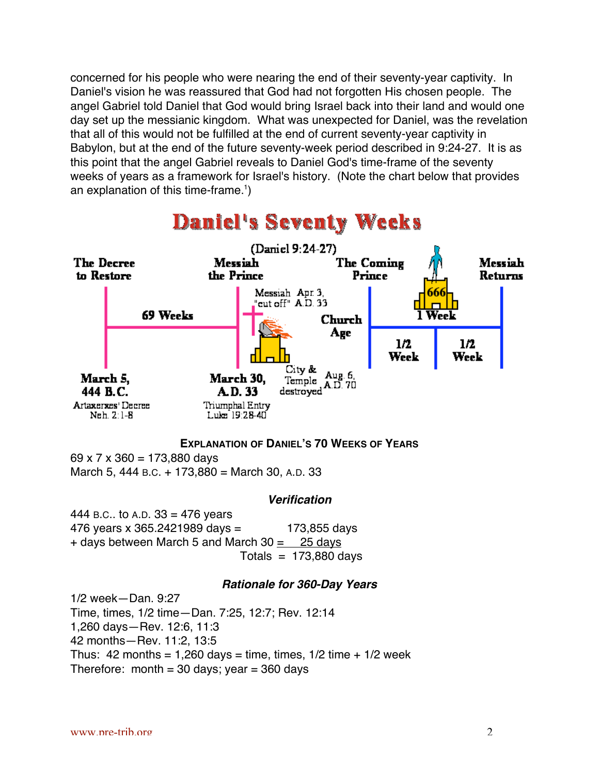concerned for his people who were nearing the end of their seventy-year captivity. In Daniel's vision he was reassured that God had not forgotten His chosen people. The angel Gabriel told Daniel that God would bring Israel back into their land and would one day set up the messianic kingdom. What was unexpected for Daniel, was the revelation that all of this would not be fulfilled at the end of current seventy-year captivity in Babylon, but at the end of the future seventy-week period described in 9:24-27. It is as this point that the angel Gabriel reveals to Daniel God's time-frame of the seventy weeks of years as a framework for Israel's history. (Note the chart below that provides an explanation of this time-frame.<sup>1</sup>)



# **Daniel's Seventy Weeks**

### **EXPLANATION OF DANIEL'S 70 WEEKS OF YEARS**

69 x 7 x 360 = 173,880 days

March 5, 444 B.C. + 173,880 = March 30, A.D. 33

## **Verification**

444 B.C.. to A.D.  $33 = 476$  years 476 years x 365.2421989 days = 173,855 days + days between March 5 and March 30  $\pm$  25 days Totals  $= 173,880$  days

### **Rationale for 360-Day Years**

1/2 week—Dan. 9:27 Time, times, 1/2 time—Dan. 7:25, 12:7; Rev. 12:14 1,260 days—Rev. 12:6, 11:3 42 months—Rev. 11:2, 13:5 Thus: 42 months = 1,260 days = time, times,  $1/2$  time +  $1/2$  week Therefore: month = 30 days; year =  $360$  days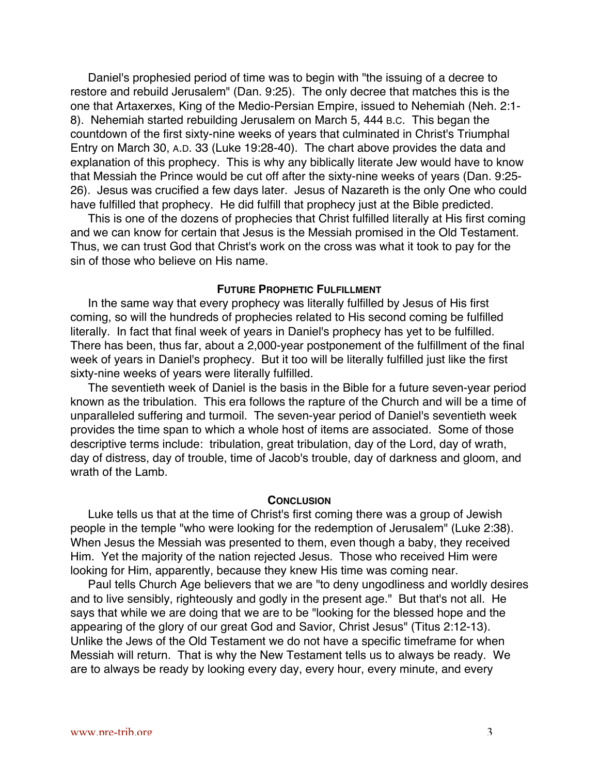Daniel's prophesied period of time was to begin with "the issuing of a decree to restore and rebuild Jerusalem" (Dan. 9:25). The only decree that matches this is the one that Artaxerxes, King of the Medio-Persian Empire, issued to Nehemiah (Neh. 2:1- 8). Nehemiah started rebuilding Jerusalem on March 5, 444 B.C. This began the countdown of the first sixty-nine weeks of years that culminated in Christ's Triumphal Entry on March 30, A.D. 33 (Luke 19:28-40). The chart above provides the data and explanation of this prophecy. This is why any biblically literate Jew would have to know that Messiah the Prince would be cut off after the sixty-nine weeks of years (Dan. 9:25- 26). Jesus was crucified a few days later. Jesus of Nazareth is the only One who could have fulfilled that prophecy. He did fulfill that prophecy just at the Bible predicted.

This is one of the dozens of prophecies that Christ fulfilled literally at His first coming and we can know for certain that Jesus is the Messiah promised in the Old Testament. Thus, we can trust God that Christ's work on the cross was what it took to pay for the sin of those who believe on His name.

#### **FUTURE PROPHETIC FULFILLMENT**

In the same way that every prophecy was literally fulfilled by Jesus of His first coming, so will the hundreds of prophecies related to His second coming be fulfilled literally. In fact that final week of years in Daniel's prophecy has yet to be fulfilled. There has been, thus far, about a 2,000-year postponement of the fulfillment of the final week of years in Daniel's prophecy. But it too will be literally fulfilled just like the first sixty-nine weeks of years were literally fulfilled.

The seventieth week of Daniel is the basis in the Bible for a future seven-year period known as the tribulation. This era follows the rapture of the Church and will be a time of unparalleled suffering and turmoil. The seven-year period of Daniel's seventieth week provides the time span to which a whole host of items are associated. Some of those descriptive terms include: tribulation, great tribulation, day of the Lord, day of wrath, day of distress, day of trouble, time of Jacob's trouble, day of darkness and gloom, and wrath of the Lamb.

### **CONCLUSION**

Luke tells us that at the time of Christ's first coming there was a group of Jewish people in the temple "who were looking for the redemption of Jerusalem" (Luke 2:38). When Jesus the Messiah was presented to them, even though a baby, they received Him. Yet the majority of the nation rejected Jesus. Those who received Him were looking for Him, apparently, because they knew His time was coming near.

Paul tells Church Age believers that we are "to deny ungodliness and worldly desires and to live sensibly, righteously and godly in the present age." But that's not all. He says that while we are doing that we are to be "looking for the blessed hope and the appearing of the glory of our great God and Savior, Christ Jesus" (Titus 2:12-13). Unlike the Jews of the Old Testament we do not have a specific timeframe for when Messiah will return. That is why the New Testament tells us to always be ready. We are to always be ready by looking every day, every hour, every minute, and every